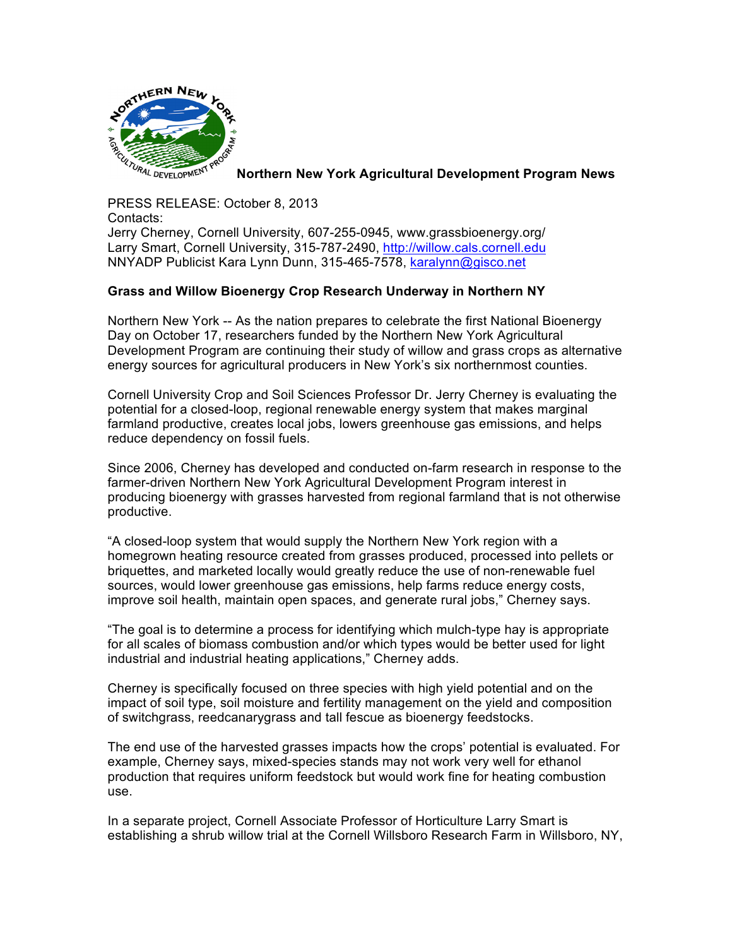

**Northern New York Agricultural Development Program News**

PRESS RELEASE: October 8, 2013 Contacts: Jerry Cherney, Cornell University, 607-255-0945, www.grassbioenergy.org/ Larry Smart, Cornell University, 315-787-2490, http://willow.cals.cornell.edu NNYADP Publicist Kara Lynn Dunn, 315-465-7578, karalynn@gisco.net

## **Grass and Willow Bioenergy Crop Research Underway in Northern NY**

Northern New York -- As the nation prepares to celebrate the first National Bioenergy Day on October 17, researchers funded by the Northern New York Agricultural Development Program are continuing their study of willow and grass crops as alternative energy sources for agricultural producers in New York's six northernmost counties.

Cornell University Crop and Soil Sciences Professor Dr. Jerry Cherney is evaluating the potential for a closed-loop, regional renewable energy system that makes marginal farmland productive, creates local jobs, lowers greenhouse gas emissions, and helps reduce dependency on fossil fuels.

Since 2006, Cherney has developed and conducted on-farm research in response to the farmer-driven Northern New York Agricultural Development Program interest in producing bioenergy with grasses harvested from regional farmland that is not otherwise productive.

"A closed-loop system that would supply the Northern New York region with a homegrown heating resource created from grasses produced, processed into pellets or briquettes, and marketed locally would greatly reduce the use of non-renewable fuel sources, would lower greenhouse gas emissions, help farms reduce energy costs, improve soil health, maintain open spaces, and generate rural jobs," Cherney says.

"The goal is to determine a process for identifying which mulch-type hay is appropriate for all scales of biomass combustion and/or which types would be better used for light industrial and industrial heating applications," Cherney adds.

Cherney is specifically focused on three species with high yield potential and on the impact of soil type, soil moisture and fertility management on the yield and composition of switchgrass, reedcanarygrass and tall fescue as bioenergy feedstocks.

The end use of the harvested grasses impacts how the crops' potential is evaluated. For example, Cherney says, mixed-species stands may not work very well for ethanol production that requires uniform feedstock but would work fine for heating combustion use.

In a separate project, Cornell Associate Professor of Horticulture Larry Smart is establishing a shrub willow trial at the Cornell Willsboro Research Farm in Willsboro, NY,